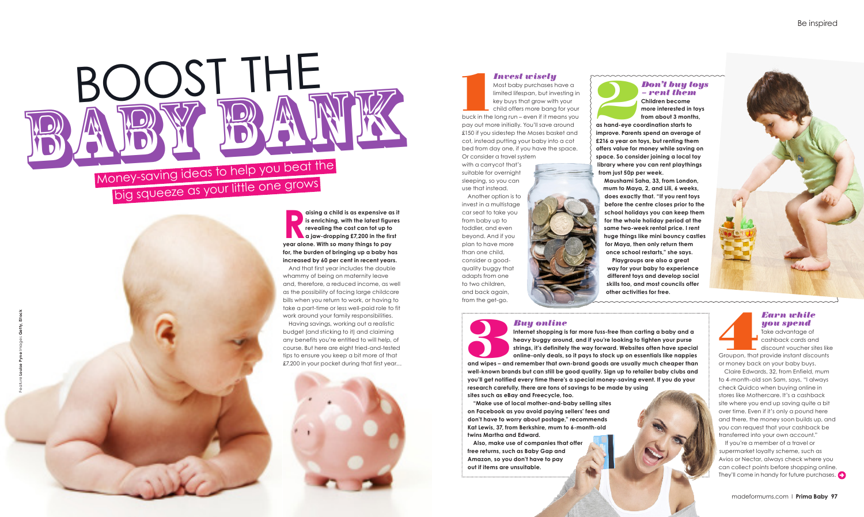*– rent them*

**Children become more interested in toys from about 3 months, as hand-eye coordination starts to** 

**improve. Parents spend an average of £216 a year on toys, but renting them offers value for money while saving on space. So consider joining a local toy library where you can rent playthings from just 50p per week.**

**Maushami Saha, 33, from London, mum to Maya, 2, and Lili, 6 weeks, does exactly that. "If you rent toys before the centre closes prior to the school holidays you can keep them for the whole holiday period at the same two-week rental price. I rent huge things like mini bouncy castles for Maya, then only return them once school restarts," she says.** 

**and wipes – and remember that own-brand goods are usually much cheaper than**<br> **and wipes – and remember that own-brand goods are usually much cheaper than Internet shopping is far more fuss-free than carting a baby and a heavy buggy around, and if you're looking to tighten your purse strings, it's definitely the way forward. Websites often have special online-only deals, so it pays to stock up on essentials like nappies well-known brands but can still be good quality. Sign up to retailer baby clubs and you'll get notified every time there's a special money-saving event. If you do your research carefully, there are tons of savings to be made by using sites such as eBay and Freecycle, too.**

**Playgroups are also a great way for your baby to experience different toys and develop social skills too, and most councils offer other activities for free.** 



**Earn while<br>
Take advantage of<br>
Take advantage of<br>
Croupon, that provide instant discounts<br>
Groupon, that provide instant discounts** Take advantage of cashback cards and discount voucher sites like

If you're a member of a travel or supermarket loyalty scheme, such as Avios or Nectar, always check where you can collect points before shopping online. They'll come in handy for future purchases.  $\leftrightarrow$ 

**Invest wisely**<br>
Most baby purchases have a<br>
limited lifespan, but investing in<br>
key buys that grow with your<br>
child offers more bang for your<br>
buck in the long run – even if it means you Most baby purchases have a limited lifespan, but investing in key buys that grow with your child offers more bang for your pay out more initially. You'll save around £150 if you sidestep the Moses basket and cot, instead putting your baby into a cot bed from day one, if you have the space. Or consider a travel system

**"Make use of local mother-and-baby selling sites on Facebook as you avoid paying sellers' fees and don't have to worry about postage," recommends Kat Lewis, 37, from Berkshire, mum to 6-month-old twins Martha and Edward.**

# Money-saving ideas to help you beat the ....,<br>big squeeze as your little one grows BOOST THE Most baby purchases have a<br>time difference buy with your single and buy the street of the street that is<br>the boy by filmd grow with your<br>child differs more bang for your<br>and a shamd-sye coordination starts to meet in the s

alsing a child is as expensive as<br>
is enriching, with the latest figure<br>
revealing the cost can tot up to<br>
a jaw-dropping £7,200 in the first<br>
year alone. With so many things to pay **aising a child is as expensive as it is enriching, with the latest figures revealing the cost can tot up to a** jaw-dropping £7,200 in the first **for, the burden of bringing up a baby has increased by 60 per cent in recent years.**  And that first year includes the double

> **Also, make use of companies that offer free returns, such as Baby Gap and Amazon, so you don't have to pay out if items are unsuitable.**

*you spend*

or money back on your baby buys.

<u> Maraman Maraman Maraman Mara</u>

Claire Edwards, 32, from Enfield, mum to 4-month-old son Sam, says, "I always check Quidco when buying online in stores like Mothercare. It's a cashback site where you end up saving quite a bit over time. Even if it's only a pound here and there, the money soon builds up, and you can request that your cashback be transferred into your own account."

## *Invest wisely*

with a carrycot that's suitable for overnight sleeping, so you can use that instead.

Another option is to invest in a multistage car seat to take you from baby up to toddler, and even beyond. And if you plan to have more than one child, consider a goodquality buggy that adapts from one to two children, and back again, from the get-go.

whammy of being on maternity leave and, therefore, a reduced income, as well as the possibility of facing large childcare bills when you return to work, or having to take a part-time or less well-paid role to fit work around your family responsibilities.

Having savings, working out a realistic budget (and sticking to it) and claiming any benefits you're entitled to will help, of course. But here are eight tried-and-tested tips to ensure you keep a bit more of that £7,200 in your pocket during that first year…